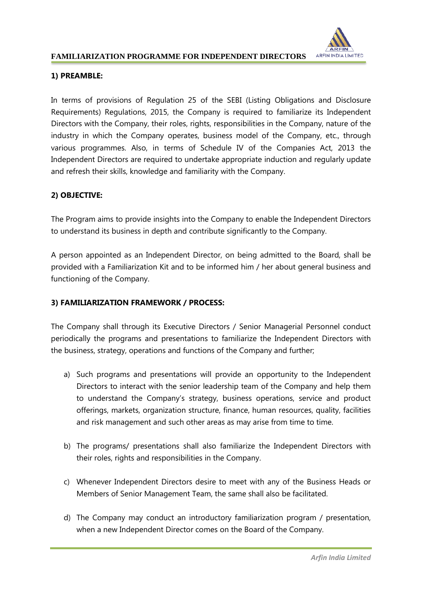

#### **FAMILIARIZATION PROGRAMME FOR INDEPENDENT DIRECTORS**

## **1) PREAMBLE:**

In terms of provisions of Regulation 25 of the SEBI (Listing Obligations and Disclosure Requirements) Regulations, 2015, the Company is required to familiarize its Independent Directors with the Company, their roles, rights, responsibilities in the Company, nature of the industry in which the Company operates, business model of the Company, etc., through various programmes. Also, in terms of Schedule IV of the Companies Act, 2013 the Independent Directors are required to undertake appropriate induction and regularly update and refresh their skills, knowledge and familiarity with the Company.

## **2) OBJECTIVE:**

The Program aims to provide insights into the Company to enable the Independent Directors to understand its business in depth and contribute significantly to the Company.

A person appointed as an Independent Director, on being admitted to the Board, shall be provided with a Familiarization Kit and to be informed him / her about general business and functioning of the Company.

### **3) FAMILIARIZATION FRAMEWORK / PROCESS:**

The Company shall through its Executive Directors / Senior Managerial Personnel conduct periodically the programs and presentations to familiarize the Independent Directors with the business, strategy, operations and functions of the Company and further;

- a) Such programs and presentations will provide an opportunity to the Independent Directors to interact with the senior leadership team of the Company and help them to understand the Company's strategy, business operations, service and product offerings, markets, organization structure, finance, human resources, quality, facilities and risk management and such other areas as may arise from time to time.
- b) The programs/ presentations shall also familiarize the Independent Directors with their roles, rights and responsibilities in the Company.
- c) Whenever Independent Directors desire to meet with any of the Business Heads or Members of Senior Management Team, the same shall also be facilitated.
- d) The Company may conduct an introductory familiarization program / presentation, when a new Independent Director comes on the Board of the Company.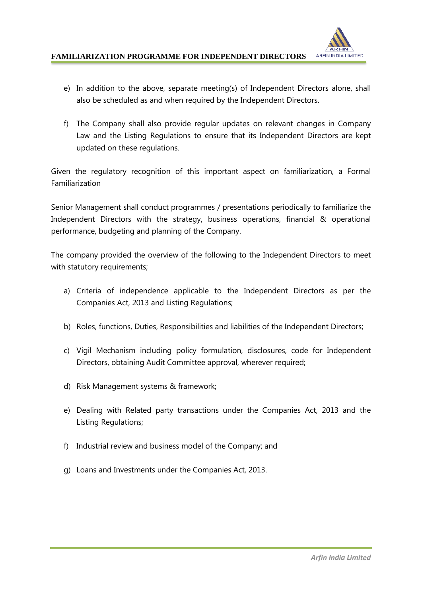

### **FAMILIARIZATION PROGRAMME FOR INDEPENDENT DIRECTORS**

- e) In addition to the above, separate meeting(s) of Independent Directors alone, shall also be scheduled as and when required by the Independent Directors.
- f) The Company shall also provide regular updates on relevant changes in Company Law and the Listing Regulations to ensure that its Independent Directors are kept updated on these regulations.

Given the regulatory recognition of this important aspect on familiarization, a Formal Familiarization

Senior Management shall conduct programmes / presentations periodically to familiarize the Independent Directors with the strategy, business operations, financial & operational performance, budgeting and planning of the Company.

The company provided the overview of the following to the Independent Directors to meet with statutory requirements;

- a) Criteria of independence applicable to the Independent Directors as per the Companies Act, 2013 and Listing Regulations;
- b) Roles, functions, Duties, Responsibilities and liabilities of the Independent Directors;
- c) Vigil Mechanism including policy formulation, disclosures, code for Independent Directors, obtaining Audit Committee approval, wherever required;
- d) Risk Management systems & framework;
- e) Dealing with Related party transactions under the Companies Act, 2013 and the Listing Regulations;
- f) Industrial review and business model of the Company; and
- g) Loans and Investments under the Companies Act, 2013.